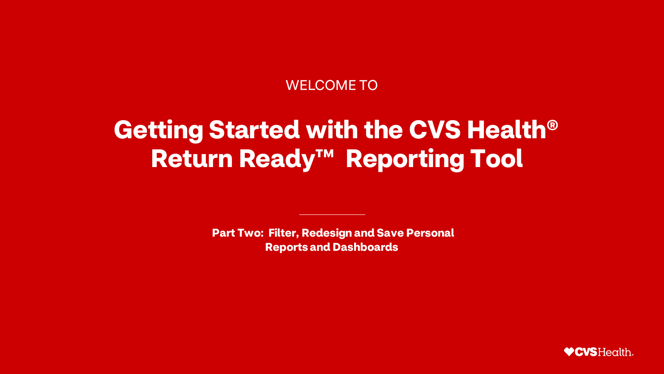#### WELCOME TO

# **Getting Started with the CVS Health® Return Ready™ Reporting Tool**

**Part Two: Filter, Redesign and Save Personal Reports and Dashboards**

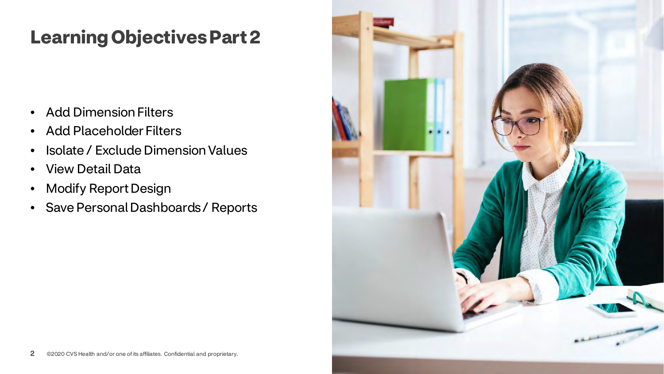### **Learning Objectives Part 2**

- Add Dimension Filters
- Add Placeholder Filters
- Isolate / Exclude Dimension Values
- View Detail Data
- Modify Report Design
- Save Personal Dashboards / Reports

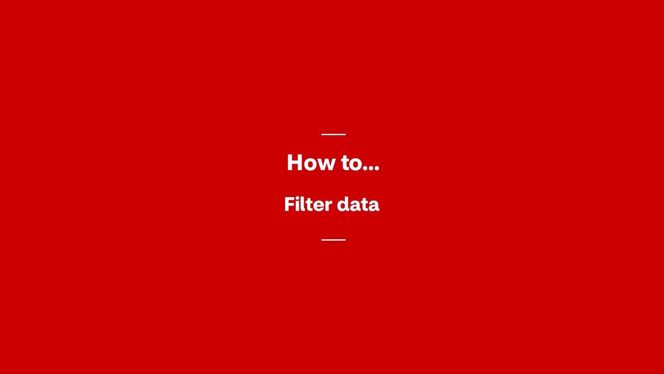**Filter data**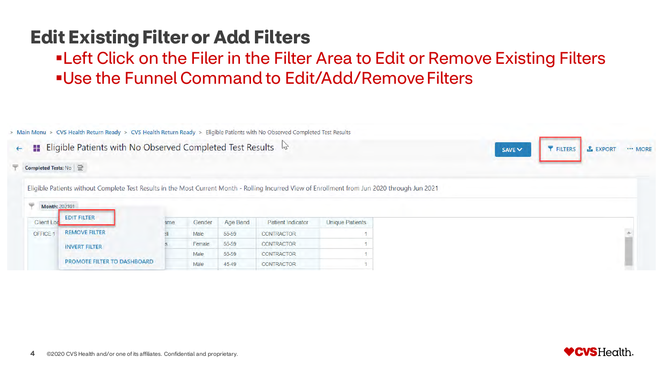### **Edit Existing Filter or Add Filters**

**ELET Click on the Filer in the Filter Area to Edit or Remove Existing Filters** Use the Funnel Command to Edit/Add/Remove Filters



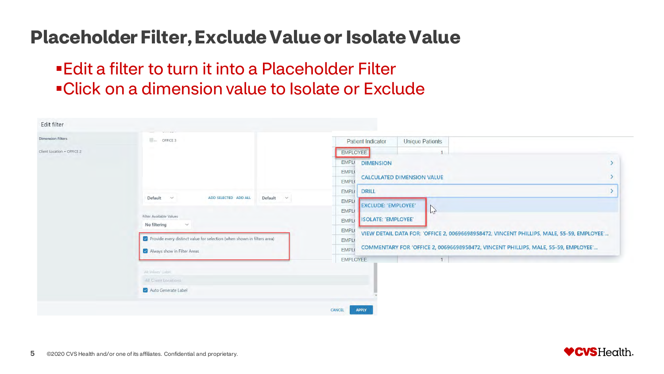#### **Placeholder Filter, Exclude Value or Isolate Value**

#### Edit a filter to turn it into a Placeholder Filter Click on a dimension value to Isolate or Exclude

| <b>Dimension Filters</b>   | $$ OFFICE 3                                                                    | <b>Unique Patients</b><br><b>Patient Indicator</b>                                                             |  |  |  |  |
|----------------------------|--------------------------------------------------------------------------------|----------------------------------------------------------------------------------------------------------------|--|--|--|--|
| Client Location = OFFICE 2 |                                                                                | EMPLOYEE                                                                                                       |  |  |  |  |
|                            |                                                                                | EMPL <sub>(</sub><br><b>DIMENSION</b>                                                                          |  |  |  |  |
|                            |                                                                                | EMPL(<br><b>CALCULATED DIMENSION VALUE</b>                                                                     |  |  |  |  |
|                            |                                                                                | <b>EMPLO</b>                                                                                                   |  |  |  |  |
|                            | Default<br>ADD SELECTED ADD ALL<br>$\checkmark$<br>Default $\vee$              | <b>DRILL</b><br>EMPL <sub>®</sub>                                                                              |  |  |  |  |
|                            |                                                                                | EMPL <sub>®</sub><br><b>EXCLUDE: 'EMPLOYEE'</b>                                                                |  |  |  |  |
|                            | Filter Available Values                                                        | $\mathbb{Z}$<br>EMPL <sub>®</sub><br>ISOLATE: 'EMPLOYEE'                                                       |  |  |  |  |
|                            | No filtering<br>$\checkmark$                                                   | <b>EMPL</b><br>EMPL <sub>®</sub>                                                                               |  |  |  |  |
|                            | $\vee$ Provide every distinct value for selection (when shown in filters area) | VIEW DETAIL DATA FOR: 'OFFICE 2, 00696698958472, VINCENT PHILLIPS, MALE, 55-59, EMPLOYEE'<br>EMPL <sub>®</sub> |  |  |  |  |
|                            | Always show in Filter Areas                                                    | COMMENTARY FOR 'OFFICE 2, 00696698958472, VINCENT PHILLIPS, MALE, 55-59, EMPLOYEE'<br><b>EMPLO</b>             |  |  |  |  |
|                            |                                                                                | EMPLOYEE<br>1                                                                                                  |  |  |  |  |
|                            | All Values Label                                                               |                                                                                                                |  |  |  |  |
|                            | All Client Locations                                                           |                                                                                                                |  |  |  |  |
|                            | Muto Generate Label                                                            |                                                                                                                |  |  |  |  |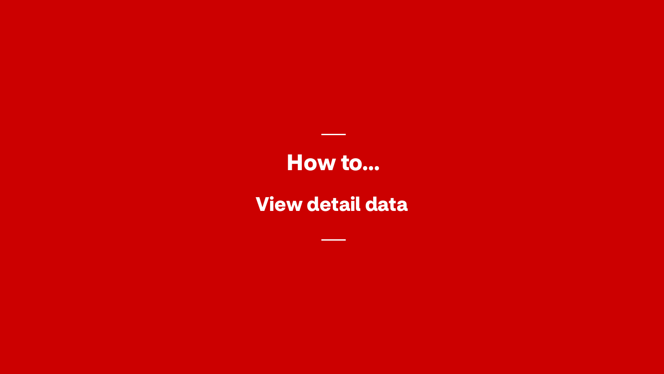#### **View detail data**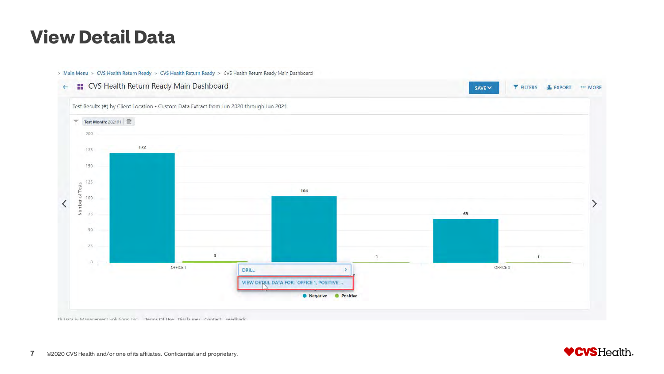#### **View Detail Data**

> Main Menu > CVS Health Return Ready > CVS Health Return Ready > CVS Health Return Ready Main Dashboard



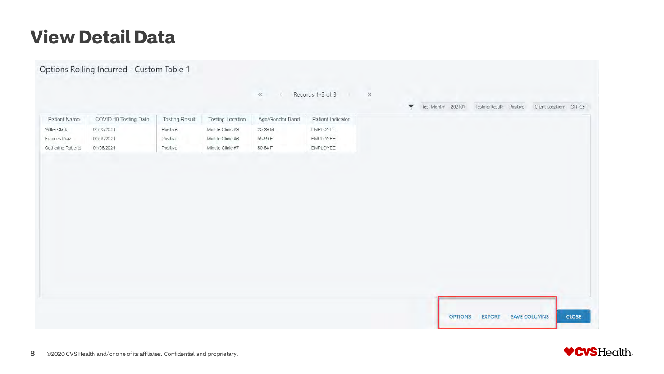### **View Detail Data**



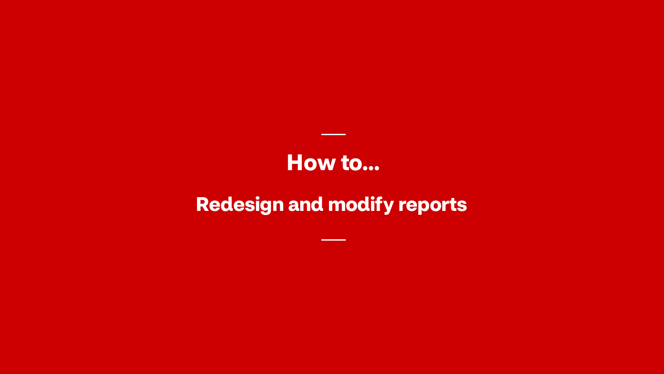### **Redesign and modify reports**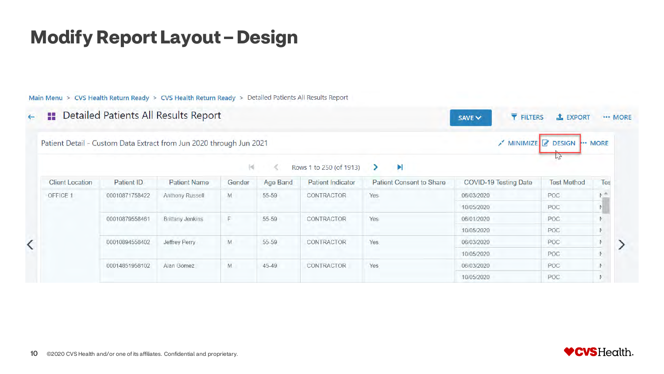#### **Modify Report Layout – Design**

Main Menu > CVS Health Return Ready > CVS Health Return Ready > Detailed Patients All Results Report

**::** Detailed Patients All Results Report  $\leftarrow$ 

**Client Location** 

OFFICE 1

 $\overline{\left\langle \right\rangle }$ 

Patient Detail - Custom Data Extract from Jun 2020 through Jun 2021



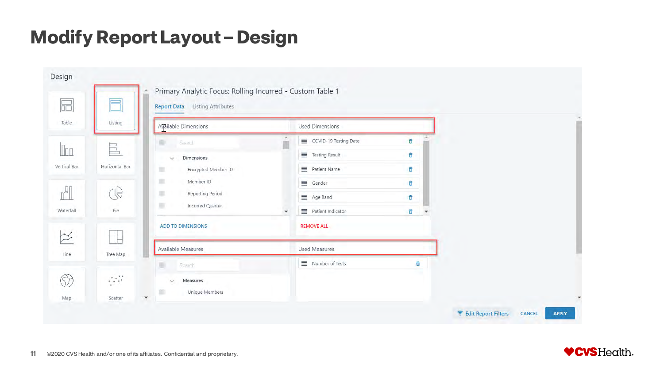#### **Modify Report Layout – Design**

|              | E                                        | Primary Analytic Focus: Rolling Incurred - Custom Table 1<br><b>Report Data</b> Listing Attributes |              |                          |                   |  |
|--------------|------------------------------------------|----------------------------------------------------------------------------------------------------|--------------|--------------------------|-------------------|--|
|              | Listing                                  | Available Dimensions                                                                               |              | <b>Used Dimensions</b>   |                   |  |
|              |                                          | Search                                                                                             |              | COVID-19 Testing Date    | $\vec{u}$         |  |
|              | 昌                                        | Dimensions<br>$\checkmark$                                                                         |              | Testing Result           | û                 |  |
| Vertical Bar | Horizontal Bar                           | Encrypted Member ID<br>۰                                                                           |              | 三 Patient Name           | û                 |  |
|              |                                          | 皿<br>Member ID                                                                                     |              | $\equiv$ Gender          | û                 |  |
|              | 75                                       | ٠<br>Reporting Period                                                                              |              | Age Band                 | û                 |  |
| Waterfall    | Pie                                      | ·<br>Incurred Quarter                                                                              | $\mathbf{v}$ | Patient Indicator        | û<br>$\mathbf{v}$ |  |
|              |                                          | <b>ADD TO DIMENSIONS</b>                                                                           |              | <b>REMOVE ALL</b>        |                   |  |
|              | Tree Map                                 | Available Measures                                                                                 |              | <b>Used Measures</b>     |                   |  |
|              |                                          | Search                                                                                             |              | $\equiv$ Number of Tests | 茴                 |  |
|              | $\mathcal{L}^{\mathcal{L}}$<br>$\bullet$ | Measures<br>$\sim$<br>m                                                                            |              |                          |                   |  |
|              | Scatter                                  | Unique Members<br>$\blacktriangledown$                                                             |              |                          |                   |  |



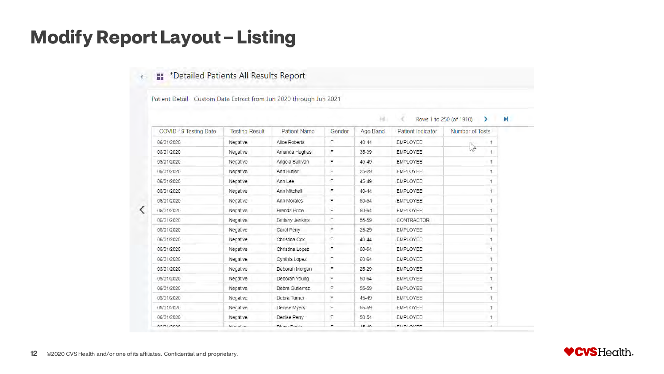#### **Modify Report Layout – Listing**

#### \*Detailed Patients All Results Report

Patient Detail - Custom Data Extract from Jun 2020 through Jun 2021

| F<br>Negative<br>$40 - 44$<br>06/01/2020<br>Alice Roberts<br><b>EMPLOYEE</b><br>1<br>NZ<br>F<br>35-39<br><b>EMPLOYEE</b><br>06/01/2020<br>Negative<br>Amanda Hughes<br>1<br>F<br>45-49<br>06/01/2020<br>Negative<br>Angela Sullivan<br><b>EMPLOYEE</b><br>F<br>25-29<br>06/01/2020<br>Negative<br>Ann Butler<br><b>EMPLOYEE</b><br>F<br>45-49<br>06/01/2020<br>Ann Lee<br><b>EMPLOYEE</b><br>Negative<br>F<br>06/01/2020<br>Negative<br>Ann Mitchell<br>$40 - 44$<br><b>EMPLOYEE</b><br>F<br>50-54<br>06/01/2020<br>Negative<br>Ann Morales<br><b>EMPLOYEE</b><br>Ŧ<br>Negative<br>F<br>60-64<br>EMPLOYEE<br>06/01/2020<br>Brenda Price<br>F<br>Negative<br>55-59<br><b>CONTRACTOR</b><br>06/01/2020<br>Brittany Jenkins<br>1<br>F<br>$25 - 29$<br>06/01/2020<br>Negative<br>Carol Perry<br>EMPLOYEE<br>F<br>06/01/2020<br>Negative<br>Christina Cox<br>$40 - 44$<br>EMPLOYEE<br>1<br>F<br>06/01/2020<br>Negative<br>60-64<br><b>EMPLOYEE</b><br>Christina Lopez<br>F<br>06/01/2020<br>60-64<br><b>EMPLOYEE</b><br>Negative<br>Cynthia Lopez<br>06/01/2020<br>25-29<br><b>EMPLOYEE</b><br>Negative<br>Deborah Morgan<br>F<br><b>EMPLOYEE</b><br>06/01/2020<br>Negative<br>Deborah Young<br>F<br>60-64<br>06/01/2020<br>Debra Gutierrez<br>F<br>55-59<br><b>EMPLOYEE</b><br>Negative<br>06/01/2020<br>F<br>45-49<br><b>EMPLOYEE</b><br>H.<br>Negative<br>Debra Turner<br>06/01/2020<br>55-59<br><b>EMPLOYEE</b><br>Negative<br>Denise Myers<br>F<br>F<br>06/01/2020<br>Negative<br>50-54<br><b>EMPLOYEE</b><br>Ħ.<br>Denise Perry | COVID-19 Testing Date | <b>Testing Result</b> | <b>Patient Name</b> | Gender | Age Band | Patient Indicator | Number of Tests |
|----------------------------------------------------------------------------------------------------------------------------------------------------------------------------------------------------------------------------------------------------------------------------------------------------------------------------------------------------------------------------------------------------------------------------------------------------------------------------------------------------------------------------------------------------------------------------------------------------------------------------------------------------------------------------------------------------------------------------------------------------------------------------------------------------------------------------------------------------------------------------------------------------------------------------------------------------------------------------------------------------------------------------------------------------------------------------------------------------------------------------------------------------------------------------------------------------------------------------------------------------------------------------------------------------------------------------------------------------------------------------------------------------------------------------------------------------------------------------------------------------------------------------------|-----------------------|-----------------------|---------------------|--------|----------|-------------------|-----------------|
|                                                                                                                                                                                                                                                                                                                                                                                                                                                                                                                                                                                                                                                                                                                                                                                                                                                                                                                                                                                                                                                                                                                                                                                                                                                                                                                                                                                                                                                                                                                                  |                       |                       |                     |        |          |                   |                 |
|                                                                                                                                                                                                                                                                                                                                                                                                                                                                                                                                                                                                                                                                                                                                                                                                                                                                                                                                                                                                                                                                                                                                                                                                                                                                                                                                                                                                                                                                                                                                  |                       |                       |                     |        |          |                   |                 |
|                                                                                                                                                                                                                                                                                                                                                                                                                                                                                                                                                                                                                                                                                                                                                                                                                                                                                                                                                                                                                                                                                                                                                                                                                                                                                                                                                                                                                                                                                                                                  |                       |                       |                     |        |          |                   |                 |
|                                                                                                                                                                                                                                                                                                                                                                                                                                                                                                                                                                                                                                                                                                                                                                                                                                                                                                                                                                                                                                                                                                                                                                                                                                                                                                                                                                                                                                                                                                                                  |                       |                       |                     |        |          |                   |                 |
|                                                                                                                                                                                                                                                                                                                                                                                                                                                                                                                                                                                                                                                                                                                                                                                                                                                                                                                                                                                                                                                                                                                                                                                                                                                                                                                                                                                                                                                                                                                                  |                       |                       |                     |        |          |                   |                 |
|                                                                                                                                                                                                                                                                                                                                                                                                                                                                                                                                                                                                                                                                                                                                                                                                                                                                                                                                                                                                                                                                                                                                                                                                                                                                                                                                                                                                                                                                                                                                  |                       |                       |                     |        |          |                   |                 |
|                                                                                                                                                                                                                                                                                                                                                                                                                                                                                                                                                                                                                                                                                                                                                                                                                                                                                                                                                                                                                                                                                                                                                                                                                                                                                                                                                                                                                                                                                                                                  |                       |                       |                     |        |          |                   |                 |
|                                                                                                                                                                                                                                                                                                                                                                                                                                                                                                                                                                                                                                                                                                                                                                                                                                                                                                                                                                                                                                                                                                                                                                                                                                                                                                                                                                                                                                                                                                                                  |                       |                       |                     |        |          |                   |                 |
|                                                                                                                                                                                                                                                                                                                                                                                                                                                                                                                                                                                                                                                                                                                                                                                                                                                                                                                                                                                                                                                                                                                                                                                                                                                                                                                                                                                                                                                                                                                                  |                       |                       |                     |        |          |                   |                 |
|                                                                                                                                                                                                                                                                                                                                                                                                                                                                                                                                                                                                                                                                                                                                                                                                                                                                                                                                                                                                                                                                                                                                                                                                                                                                                                                                                                                                                                                                                                                                  |                       |                       |                     |        |          |                   |                 |
|                                                                                                                                                                                                                                                                                                                                                                                                                                                                                                                                                                                                                                                                                                                                                                                                                                                                                                                                                                                                                                                                                                                                                                                                                                                                                                                                                                                                                                                                                                                                  |                       |                       |                     |        |          |                   |                 |
|                                                                                                                                                                                                                                                                                                                                                                                                                                                                                                                                                                                                                                                                                                                                                                                                                                                                                                                                                                                                                                                                                                                                                                                                                                                                                                                                                                                                                                                                                                                                  |                       |                       |                     |        |          |                   |                 |
|                                                                                                                                                                                                                                                                                                                                                                                                                                                                                                                                                                                                                                                                                                                                                                                                                                                                                                                                                                                                                                                                                                                                                                                                                                                                                                                                                                                                                                                                                                                                  |                       |                       |                     |        |          |                   |                 |
|                                                                                                                                                                                                                                                                                                                                                                                                                                                                                                                                                                                                                                                                                                                                                                                                                                                                                                                                                                                                                                                                                                                                                                                                                                                                                                                                                                                                                                                                                                                                  |                       |                       |                     |        |          |                   |                 |
|                                                                                                                                                                                                                                                                                                                                                                                                                                                                                                                                                                                                                                                                                                                                                                                                                                                                                                                                                                                                                                                                                                                                                                                                                                                                                                                                                                                                                                                                                                                                  |                       |                       |                     |        |          |                   |                 |
|                                                                                                                                                                                                                                                                                                                                                                                                                                                                                                                                                                                                                                                                                                                                                                                                                                                                                                                                                                                                                                                                                                                                                                                                                                                                                                                                                                                                                                                                                                                                  |                       |                       |                     |        |          |                   |                 |
|                                                                                                                                                                                                                                                                                                                                                                                                                                                                                                                                                                                                                                                                                                                                                                                                                                                                                                                                                                                                                                                                                                                                                                                                                                                                                                                                                                                                                                                                                                                                  |                       |                       |                     |        |          |                   |                 |
|                                                                                                                                                                                                                                                                                                                                                                                                                                                                                                                                                                                                                                                                                                                                                                                                                                                                                                                                                                                                                                                                                                                                                                                                                                                                                                                                                                                                                                                                                                                                  |                       |                       |                     |        |          |                   |                 |
|                                                                                                                                                                                                                                                                                                                                                                                                                                                                                                                                                                                                                                                                                                                                                                                                                                                                                                                                                                                                                                                                                                                                                                                                                                                                                                                                                                                                                                                                                                                                  |                       |                       |                     |        |          |                   |                 |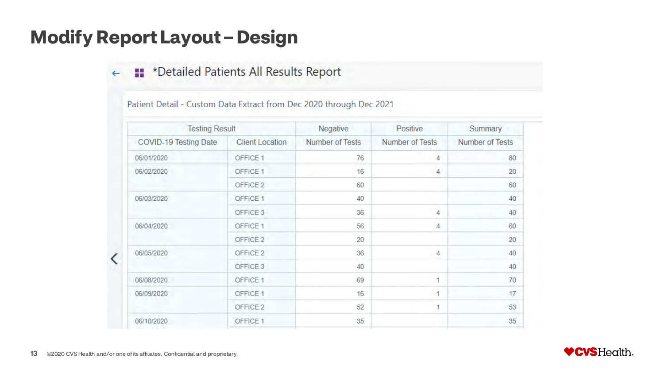#### **Modify Report Layout – Design**

#### \*Detailed Patients All Results Report

Patient Detail - Custom Data Extract from Dec 2020 through Dec 2021

| <b>Testing Result</b> |                        | Negative        | Positive               | Summary         |  |
|-----------------------|------------------------|-----------------|------------------------|-----------------|--|
| COVID-19 Testing Date | <b>Client Location</b> | Number of Tests | <b>Number of Tests</b> | Number of Tests |  |
| 06/01/2020            | OFFICE 1               | 76              | 4                      | 80              |  |
| 06/02/2020            | OFFICE 1               | 16              | $\overline{4}$         | 20              |  |
|                       | OFFICE 2               | 60              |                        | 60              |  |
| 06/03/2020            | OFFICE 1               | 40              |                        | 40              |  |
|                       | OFFICE 3               | 36              | 4                      | 40              |  |
| 06/04/2020            | OFFICE 1               | 56              | $\overline{4}$         | 60              |  |
|                       | OFFICE 2               | 20              |                        | 20              |  |
| 06/05/2020            | OFFICE 2               | 36              | $\overline{4}$         | 40              |  |
|                       | OFFICE 3               | 40              |                        | 40              |  |
| 06/08/2020            | OFFICE 1               | 69              | 1                      | 70              |  |
| 06/09/2020            | OFFICE 1               | 16              | 4                      | 17              |  |
|                       | OFFICE 2               | 52              | 1                      | 53              |  |
| 06/10/2020            | OFFICE 1               | 35              |                        | 35              |  |
|                       |                        |                 |                        |                 |  |

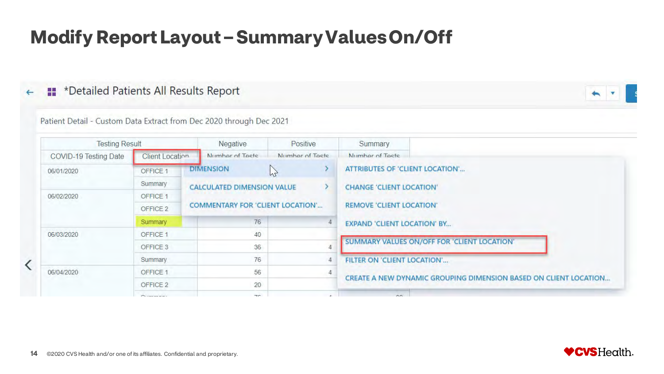### **Modify Report Layout – Summary Values On/Off**

#### \*Detailed Patients All Results Report



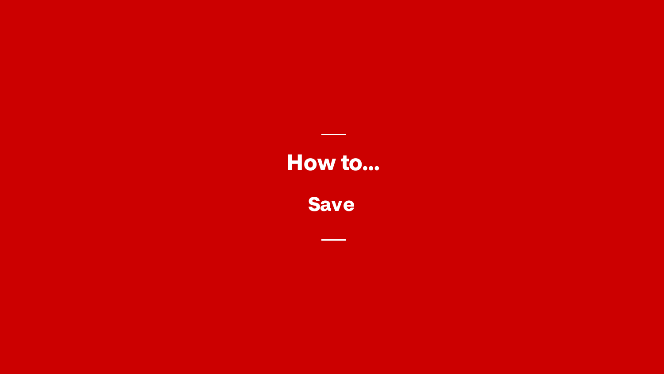**Save**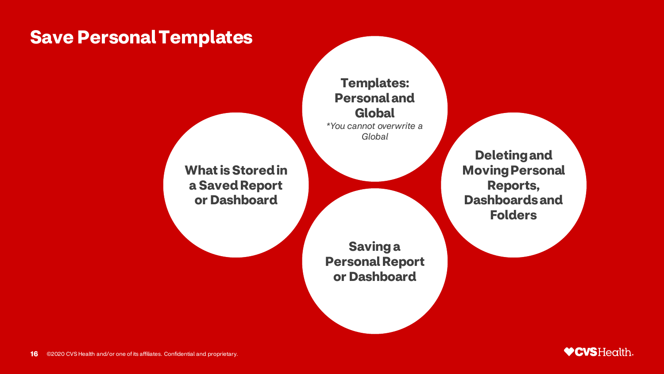#### **Save Personal Templates**

**Templates: Personal and Global** *\*You cannot overwrite a Global*

**What is Stored in a Saved Report or Dashboard**

> **Saving a Personal Report or Dashboard**

**Deleting and Moving Personal Reports, Dashboards and Folders**

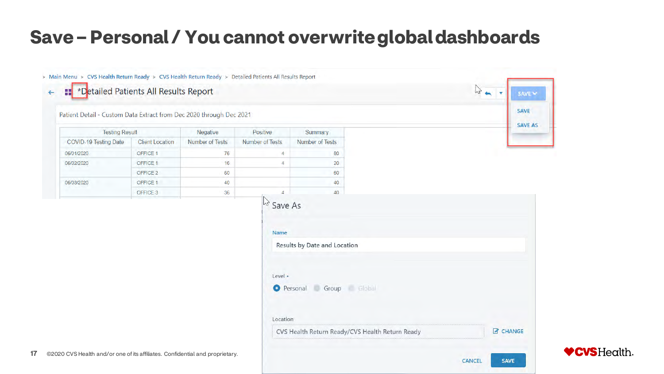#### **Save – Personal / You cannot overwrite global dashboards**